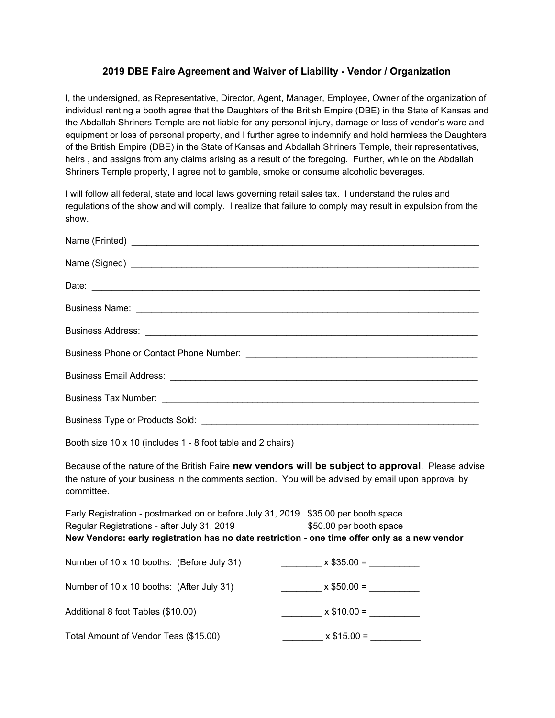## **2019 DBE Faire Agreement and Waiver of Liability - Vendor / Organization**

I, the undersigned, as Representative, Director, Agent, Manager, Employee, Owner of the organization of individual renting a booth agree that the Daughters of the British Empire (DBE) in the State of Kansas and the Abdallah Shriners Temple are not liable for any personal injury, damage or loss of vendor's ware and equipment or loss of personal property, and I further agree to indemnify and hold harmless the Daughters of the British Empire (DBE) in the State of Kansas and Abdallah Shriners Temple, their representatives, heirs, and assigns from any claims arising as a result of the foregoing. Further, while on the Abdallah Shriners Temple property, I agree not to gamble, smoke or consume alcoholic beverages.

I will follow all federal, state and local laws governing retail sales tax. I understand the rules and regulations of the show and will comply. I realize that failure to comply may result in expulsion from the show.

| Booth size 10 x 10 (includes 1 - 8 foot table and 2 chairs)                                                                                                                                                                        |                                         |
|------------------------------------------------------------------------------------------------------------------------------------------------------------------------------------------------------------------------------------|-----------------------------------------|
| Because of the nature of the British Faire new vendors will be subject to approval. Please advise<br>the nature of your business in the comments section. You will be advised by email upon approval by<br>committee.              |                                         |
| Early Registration - postmarked on or before July 31, 2019 \$35.00 per booth space<br>Regular Registrations - after July 31, 2019<br>New Vendors: early registration has no date restriction - one time offer only as a new vendor | \$50.00 per booth space                 |
| Number of 10 x 10 booths: (Before July 31)                                                                                                                                                                                         | $x $35.00 =$                            |
| Number of 10 x 10 booths: (After July 31)                                                                                                                                                                                          | $\frac{1}{2}$ x \$50.00 = $\frac{1}{2}$ |
| Additional 8 foot Tables (\$10.00)                                                                                                                                                                                                 | $x $10.00 =$                            |
| Total Amount of Vendor Teas (\$15.00)                                                                                                                                                                                              | $x $15.00 =$                            |